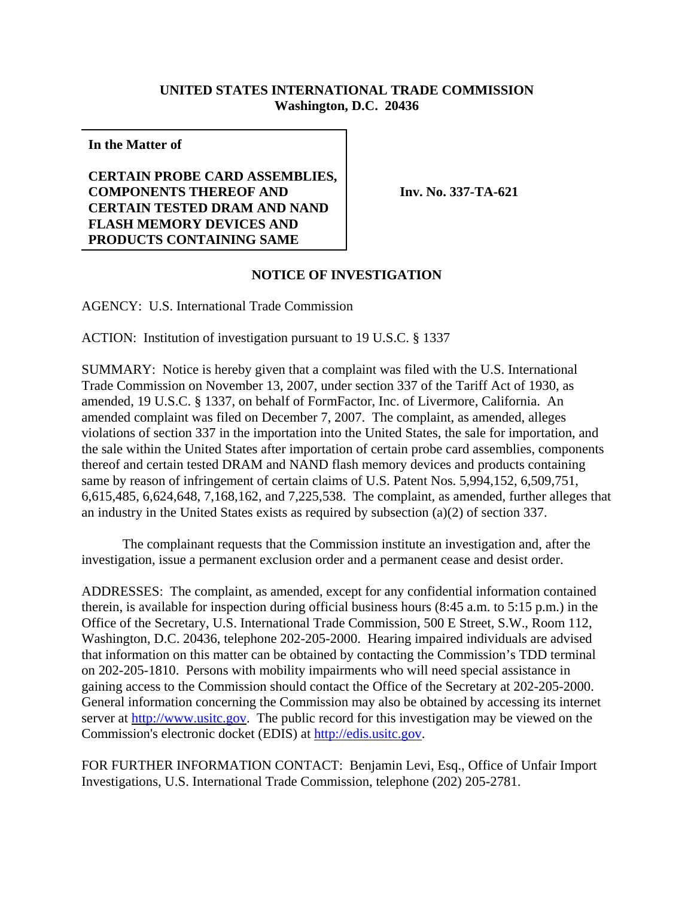## **UNITED STATES INTERNATIONAL TRADE COMMISSION Washington, D.C. 20436**

**In the Matter of**

**CERTAIN PROBE CARD ASSEMBLIES, COMPONENTS THEREOF AND CERTAIN TESTED DRAM AND NAND FLASH MEMORY DEVICES AND PRODUCTS CONTAINING SAME**

**Inv. No. 337-TA-621**

## **NOTICE OF INVESTIGATION**

AGENCY: U.S. International Trade Commission

ACTION: Institution of investigation pursuant to 19 U.S.C. § 1337

SUMMARY: Notice is hereby given that a complaint was filed with the U.S. International Trade Commission on November 13, 2007, under section 337 of the Tariff Act of 1930, as amended, 19 U.S.C. § 1337, on behalf of FormFactor, Inc. of Livermore, California. An amended complaint was filed on December 7, 2007. The complaint, as amended, alleges violations of section 337 in the importation into the United States, the sale for importation, and the sale within the United States after importation of certain probe card assemblies, components thereof and certain tested DRAM and NAND flash memory devices and products containing same by reason of infringement of certain claims of U.S. Patent Nos. 5,994,152, 6,509,751, 6,615,485, 6,624,648, 7,168,162, and 7,225,538. The complaint, as amended, further alleges that an industry in the United States exists as required by subsection (a)(2) of section 337.

The complainant requests that the Commission institute an investigation and, after the investigation, issue a permanent exclusion order and a permanent cease and desist order.

ADDRESSES: The complaint, as amended, except for any confidential information contained therein, is available for inspection during official business hours (8:45 a.m. to 5:15 p.m.) in the Office of the Secretary, U.S. International Trade Commission, 500 E Street, S.W., Room 112, Washington, D.C. 20436, telephone 202-205-2000. Hearing impaired individuals are advised that information on this matter can be obtained by contacting the Commission's TDD terminal on 202-205-1810. Persons with mobility impairments who will need special assistance in gaining access to the Commission should contact the Office of the Secretary at 202-205-2000. General information concerning the Commission may also be obtained by accessing its internet server at http://www.usitc.gov. The public record for this investigation may be viewed on the Commission's electronic docket (EDIS) at http://edis.usitc.gov.

FOR FURTHER INFORMATION CONTACT: Benjamin Levi, Esq., Office of Unfair Import Investigations, U.S. International Trade Commission, telephone (202) 205-2781.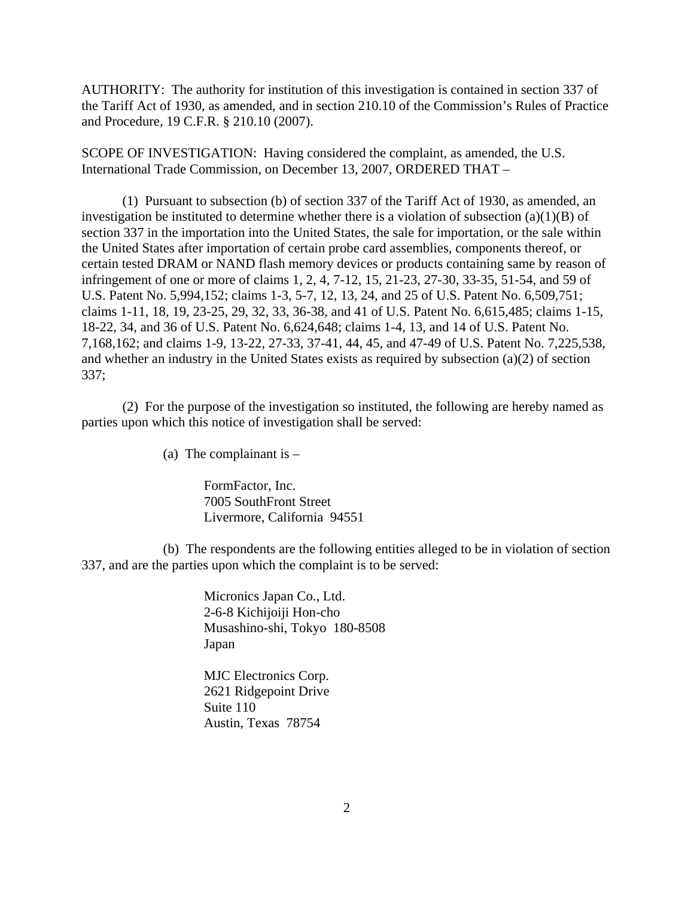AUTHORITY: The authority for institution of this investigation is contained in section 337 of the Tariff Act of 1930, as amended, and in section 210.10 of the Commission's Rules of Practice and Procedure, 19 C.F.R. § 210.10 (2007).

SCOPE OF INVESTIGATION: Having considered the complaint, as amended, the U.S. International Trade Commission, on December 13, 2007, ORDERED THAT –

(1) Pursuant to subsection (b) of section 337 of the Tariff Act of 1930, as amended, an investigation be instituted to determine whether there is a violation of subsection  $(a)(1)(B)$  of section 337 in the importation into the United States, the sale for importation, or the sale within the United States after importation of certain probe card assemblies, components thereof, or certain tested DRAM or NAND flash memory devices or products containing same by reason of infringement of one or more of claims 1, 2, 4, 7-12, 15, 21-23, 27-30, 33-35, 51-54, and 59 of U.S. Patent No. 5,994,152; claims 1-3, 5-7, 12, 13, 24, and 25 of U.S. Patent No. 6,509,751; claims 1-11, 18, 19, 23-25, 29, 32, 33, 36-38, and 41 of U.S. Patent No. 6,615,485; claims 1-15, 18-22, 34, and 36 of U.S. Patent No. 6,624,648; claims 1-4, 13, and 14 of U.S. Patent No. 7,168,162; and claims 1-9, 13-22, 27-33, 37-41, 44, 45, and 47-49 of U.S. Patent No. 7,225,538, and whether an industry in the United States exists as required by subsection (a)(2) of section 337;

(2) For the purpose of the investigation so instituted, the following are hereby named as parties upon which this notice of investigation shall be served:

(a) The complainant is  $-$ 

FormFactor, Inc. 7005 SouthFront Street Livermore, California 94551

(b) The respondents are the following entities alleged to be in violation of section 337, and are the parties upon which the complaint is to be served:

> Micronics Japan Co., Ltd. 2-6-8 Kichijoiji Hon-cho Musashino-shi, Tokyo 180-8508 Japan

MJC Electronics Corp. 2621 Ridgepoint Drive Suite 110 Austin, Texas 78754